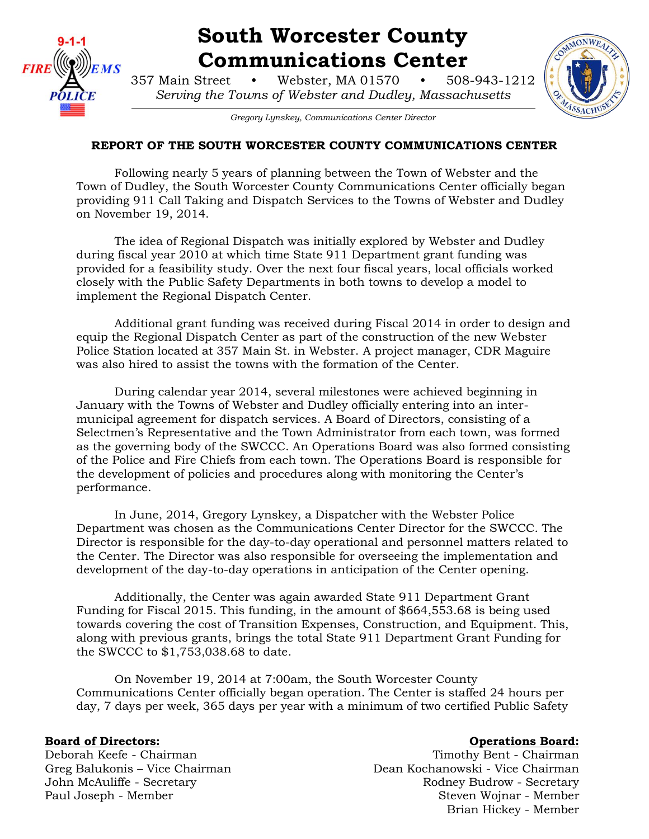

# **South Worcester County Communications Center**

357 Main Street • Webster, MA 01570 • 508-943-1212 *Serving the Towns of Webster and Dudley, Massachusetts*



*Gregory Lynskey, Communications Center Director*

# **REPORT OF THE SOUTH WORCESTER COUNTY COMMUNICATIONS CENTER**

Following nearly 5 years of planning between the Town of Webster and the Town of Dudley, the South Worcester County Communications Center officially began providing 911 Call Taking and Dispatch Services to the Towns of Webster and Dudley on November 19, 2014.

The idea of Regional Dispatch was initially explored by Webster and Dudley during fiscal year 2010 at which time State 911 Department grant funding was provided for a feasibility study. Over the next four fiscal years, local officials worked closely with the Public Safety Departments in both towns to develop a model to implement the Regional Dispatch Center.

Additional grant funding was received during Fiscal 2014 in order to design and equip the Regional Dispatch Center as part of the construction of the new Webster Police Station located at 357 Main St. in Webster. A project manager, CDR Maguire was also hired to assist the towns with the formation of the Center.

During calendar year 2014, several milestones were achieved beginning in January with the Towns of Webster and Dudley officially entering into an intermunicipal agreement for dispatch services. A Board of Directors, consisting of a Selectmen's Representative and the Town Administrator from each town, was formed as the governing body of the SWCCC. An Operations Board was also formed consisting of the Police and Fire Chiefs from each town. The Operations Board is responsible for the development of policies and procedures along with monitoring the Center's performance.

In June, 2014, Gregory Lynskey, a Dispatcher with the Webster Police Department was chosen as the Communications Center Director for the SWCCC. The Director is responsible for the day-to-day operational and personnel matters related to the Center. The Director was also responsible for overseeing the implementation and development of the day-to-day operations in anticipation of the Center opening.

Additionally, the Center was again awarded State 911 Department Grant Funding for Fiscal 2015. This funding, in the amount of \$664,553.68 is being used towards covering the cost of Transition Expenses, Construction, and Equipment. This, along with previous grants, brings the total State 911 Department Grant Funding for the SWCCC to \$1,753,038.68 to date.

On November 19, 2014 at 7:00am, the South Worcester County Communications Center officially began operation. The Center is staffed 24 hours per day, 7 days per week, 365 days per year with a minimum of two certified Public Safety

# **Board of Directors: Constanting Board: Operations Board: Operations Board: Operations Board: Operations Board: Operations Board: Operations Board: Operations Board: Operations Board: Operations Opera**

Deborah Keefe - Chairman Timothy Bent - Chairman Greg Balukonis – Vice Chairman Dean Kochanowski - Vice Chairman John McAuliffe - Secretary **Rodney Budrow - Secretary** Rodney Budrow - Secretary Paul Joseph - Member Steven Wojnar - Member Steven Wojnar - Member Brian Hickey - Member